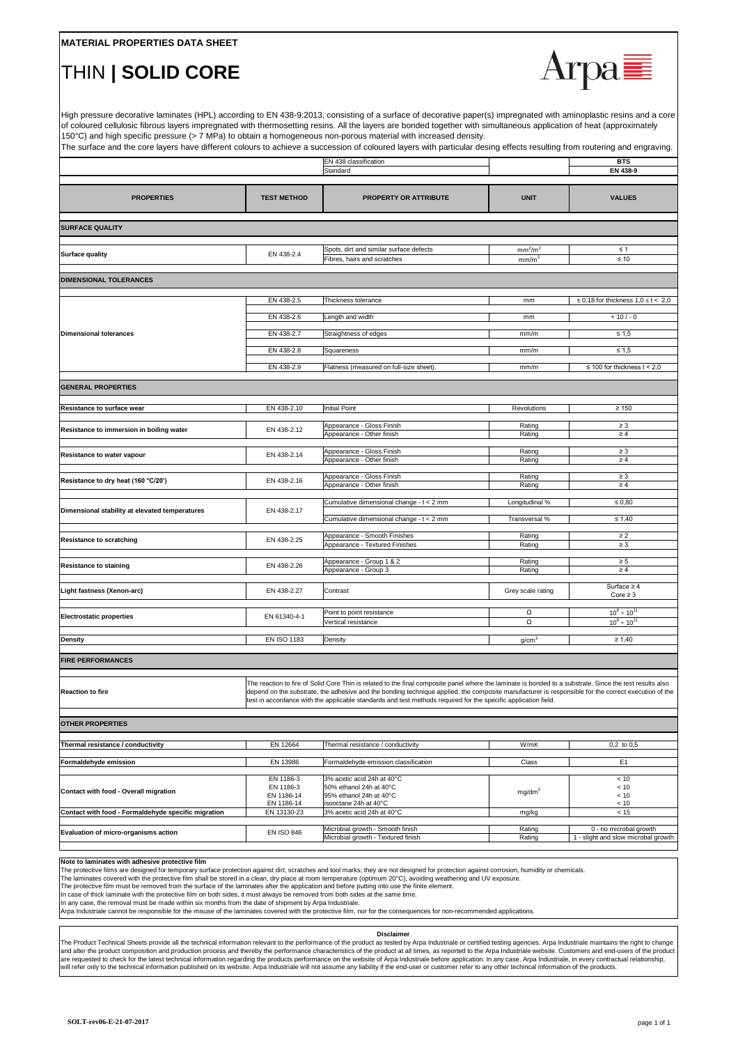#### **Note to laminates with adhesive protective film**

High pressure decorative laminates (HPL) according to EN 438-9:2013, consisting of a surface of decorative paper(s) impregnated with aminoplastic resins and a core of coloured cellulosic fibrous layers impregnated with thermosetting resins. All the layers are bonded together with simultaneous application of heat (approximately 150°C) and high specific pressure (> 7 MPa) to obtain a homogeneous non-porous material with increased density.

The surface and the core layers have different colours to achieve a succession of coloured layers with particular desing effects resulting from routering and engraving.

The protective films are designed for temporary surface protection against dirt, scratches and tool marks; they are not designed for protection against corrosion, humidity or chemicals.

The laminates covered with the protective film shall be stored in a clean, dry place at room temperature (optimum 20°C), avoiding weathering and UV exposure.

The protective film must be removed from the surface of the laminates after the application and before putting into use the finite element.

In case of thick laminate with the protective film on both sides, it must always be removed from both sides at the same time.

In any case, the removal must be made within six months from the date of shipment by Arpa Industriale.

|                                                     |                                                    | <b>EN 438 classification</b>                                                                                                                                                                                                                                                                                                                                                                                                      |                                                      | <b>BTS</b>                                  |
|-----------------------------------------------------|----------------------------------------------------|-----------------------------------------------------------------------------------------------------------------------------------------------------------------------------------------------------------------------------------------------------------------------------------------------------------------------------------------------------------------------------------------------------------------------------------|------------------------------------------------------|---------------------------------------------|
|                                                     |                                                    | Standard                                                                                                                                                                                                                                                                                                                                                                                                                          |                                                      | <b>EN 438-9</b>                             |
|                                                     |                                                    |                                                                                                                                                                                                                                                                                                                                                                                                                                   |                                                      |                                             |
| <b>PROPERTIES</b>                                   | <b>TEST METHOD</b>                                 | <b>PROPERTY OR ATTRIBUTE</b>                                                                                                                                                                                                                                                                                                                                                                                                      | <b>UNIT</b>                                          | <b>VALUES</b>                               |
| <b>SURFACE QUALITY</b>                              |                                                    |                                                                                                                                                                                                                                                                                                                                                                                                                                   |                                                      |                                             |
|                                                     |                                                    |                                                                                                                                                                                                                                                                                                                                                                                                                                   |                                                      |                                             |
| <b>Surface quality</b>                              | EN 438-2.4                                         | Spots, dirt and similar surface defects<br>Fibres, hairs and scratches                                                                                                                                                                                                                                                                                                                                                            | mm <sup>2</sup> /m <sup>2</sup><br>mm/m <sup>2</sup> | $\leq 1$<br>$\leq 10$                       |
| <b>DIMENSIONAL TOLERANCES</b>                       |                                                    |                                                                                                                                                                                                                                                                                                                                                                                                                                   |                                                      |                                             |
| Dimensional tolerances                              | EN 438-2.5                                         | Thickness tolerance                                                                                                                                                                                                                                                                                                                                                                                                               | mm                                                   | $\pm$ 0,18 for thickness 1,0 $\leq$ t < 2,0 |
|                                                     | EN 438-2.6                                         | Length and width                                                                                                                                                                                                                                                                                                                                                                                                                  | mm                                                   | $+10/-0$                                    |
|                                                     | EN 438-2.7                                         | Straightness of edges                                                                                                                                                                                                                                                                                                                                                                                                             | mm/m                                                 | $\leq 1.5$                                  |
|                                                     | EN 438-2.8                                         | Squareness                                                                                                                                                                                                                                                                                                                                                                                                                        | mm/m                                                 | $\leq 1,5$                                  |
|                                                     | EN 438-2.9                                         | Flatness (measured on full-size sheet).                                                                                                                                                                                                                                                                                                                                                                                           | mm/m                                                 | $\leq$ 100 for thickness t < 2,0            |
| <b>GENERAL PROPERTIES</b>                           |                                                    |                                                                                                                                                                                                                                                                                                                                                                                                                                   |                                                      |                                             |
| <b>Resistance to surface wear</b>                   | EN 438-2.10                                        | Initial Point                                                                                                                                                                                                                                                                                                                                                                                                                     | <b>Revolutions</b>                                   | $\geq 150$                                  |
|                                                     |                                                    |                                                                                                                                                                                                                                                                                                                                                                                                                                   |                                                      |                                             |
| Resistance to immersion in boiling water            | EN 438-2.12                                        | Appearance - Gloss Finish<br>Appearance - Other finish                                                                                                                                                                                                                                                                                                                                                                            | Rating<br>Rating                                     | $\geq 3$<br>$\geq 4$                        |
| <b>Resistance to water vapour</b>                   | EN 438-2.14                                        | Appearance - Gloss Finish<br>Appearance - Other finish                                                                                                                                                                                                                                                                                                                                                                            | Rating<br>Rating                                     | $\geq 3$<br>$\geq 4$                        |
|                                                     |                                                    |                                                                                                                                                                                                                                                                                                                                                                                                                                   |                                                      |                                             |
| Resistance to dry heat (160 °C/20')                 | EN 438-2.16                                        | Appearance - Gloss Finish<br>Appearance - Other finish                                                                                                                                                                                                                                                                                                                                                                            | Rating<br>Rating                                     | $\geq 3$<br>$\geq 4$                        |
| Dimensional stability at elevated temperatures      | EN 438-2.17                                        | Cumulative dimensional change - t < 2 mm                                                                                                                                                                                                                                                                                                                                                                                          | Longitudinal %                                       | $\leq 0,80$                                 |
|                                                     |                                                    | Cumulative dimensional change - t < 2 mm                                                                                                                                                                                                                                                                                                                                                                                          | Transversal %                                        | $\leq 1,40$                                 |
| <b>Resistance to scratching</b>                     | EN 438-2.25                                        | Appearance - Smooth Finishes<br>Appearance - Textured Finishes                                                                                                                                                                                                                                                                                                                                                                    | Rating<br>Rating                                     | $\geq$ 2<br>$\geq 3$                        |
|                                                     |                                                    | Appearance - Group 1 & 2                                                                                                                                                                                                                                                                                                                                                                                                          | Rating                                               | $\geq 5$                                    |
| <b>Resistance to staining</b>                       | EN 438-2.26                                        | Appearance - Group 3                                                                                                                                                                                                                                                                                                                                                                                                              | Rating                                               | $\geq 4$                                    |
| <b>Light fastness (Xenon-arc)</b>                   | EN 438-2.27                                        | Contrast                                                                                                                                                                                                                                                                                                                                                                                                                          | Grey scale rating                                    | Surface $\geq 4$<br>Core $\geq 3$           |
| <b>Electrostatic properties</b>                     | EN 61340-4-1                                       | Point to point resistance                                                                                                                                                                                                                                                                                                                                                                                                         | Ω                                                    | $10^9 \div 10^{11}$                         |
|                                                     |                                                    | Vertical resistance                                                                                                                                                                                                                                                                                                                                                                                                               | Ω                                                    | $10^9 \div 10^{11}$                         |
| <b>Density</b>                                      | <b>EN ISO 1183</b>                                 | Density                                                                                                                                                                                                                                                                                                                                                                                                                           | g/cm <sup>3</sup>                                    | $\geq 1,40$                                 |
| <b>FIRE PERFORMANCES</b>                            |                                                    |                                                                                                                                                                                                                                                                                                                                                                                                                                   |                                                      |                                             |
| <b>Reaction to fire</b>                             |                                                    | The reaction to fire of Solid Core Thin is related to the final composite panel where the laminate is bonded to a substrate. Since the test results also<br>depend on the substrate, the adhesive and the bonding technique applied, the composite manufacturer is responsible for the correct execution of the<br>test in accordance with the applicable standards and test methods required for the specific application field. |                                                      |                                             |
| <b>OTHER PROPERTIES</b>                             |                                                    |                                                                                                                                                                                                                                                                                                                                                                                                                                   |                                                      |                                             |
| Thermal resistance / conductivity                   | EN 12664                                           | Thermal resistance / conductivity                                                                                                                                                                                                                                                                                                                                                                                                 | W/mK                                                 | $0,2$ to $0,5$                              |
| Formaldehyde emission                               | EN 13986                                           | Formaldehyde emission classification                                                                                                                                                                                                                                                                                                                                                                                              | <b>Class</b>                                         | E1                                          |
| Contact with food - Overall migration               | EN 1186-3<br>EN 1186-3<br>EN 1186-14<br>EN 1186-14 | 3% acetic acid 24h at 40°C<br>50% ethanol 24h at 40°C<br>95% ethanol 24h at 40°C<br>lisooctane 24h at 40°C                                                                                                                                                                                                                                                                                                                        | mg/dm <sup>2</sup>                                   | < 10<br>< 10<br>< 10<br>< 10                |
| Contact with food - Formaldehyde specific migration | EN 13130-23                                        | 3% acetic acid 24h at 40°C                                                                                                                                                                                                                                                                                                                                                                                                        | mg/kg                                                | < 15                                        |
| <b>Evaluation of micro-organisms action</b>         | <b>EN ISO 846</b>                                  | Microbial growth - Smooth finish                                                                                                                                                                                                                                                                                                                                                                                                  | Rating                                               | 0 - no microbal growth                      |
|                                                     |                                                    | Microbial growth - Textured finish                                                                                                                                                                                                                                                                                                                                                                                                | Rating                                               | 1 - slight and slow microbal growth         |

Arpa Industriale cannot be responsible for the misuse of the laminates covered with the protective film, nor for the consequences for non-recommended applications.

### **MATERIAL PROPERTIES DATA SHEET**

## THIN **| SOLID CORE**



#### **Disclaimer**

The Product Technical Sheets provide all the technical information relevant to the performance of the product as tested by Arpa Industriale or certified testing agencies. Arpa Industriale maintains the right to change and alter the product composition and production process and thereby the performance characteristics of the product at all times, as reported to the Arpa Industriale website. Customers and end-users of the product are requested to check for the latest technical information regarding the products performance on the website of Arpa Industriale before application. In any case, Arpa Industriale, in every contractual relationship, will refer only to the technical information published on its website. Arpa Industriale will not assume any liability if the end-user or customer refer to any other techincal information of the products.